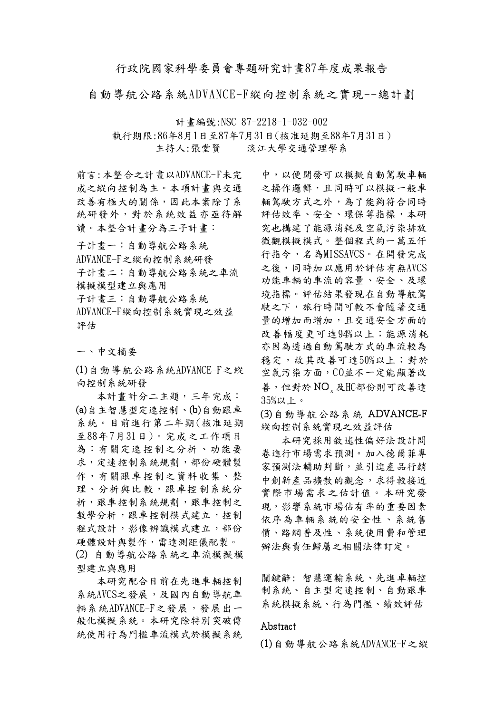## 行政院國家科學委員會專題研究計書87年度成果報告

自動導航公路系統ADVANCE-F縱向控制系統之實現--總計劃

計書編號:NSC 87-2218-1-032-002 執行期限:86年8月1日至87年7月31日(核准延期至88年7月31日)

主持人:張堂賢 淡江大學交通管理學系

前言:本整合之計書以ADVANCE-F未完 成之縱向控制為主。本項計書與交通 改善有極大的關係,因此本案除了系 統研發外,對於系統效益亦亟待解 讀。本整合計書分為三子計書:

子計書一:自動導航公路系統 ADVANCE-F之縱向控制系統研發 子計書二:自動導航公路系統之車流 模擬模型建立與應用 子計書三:自動導航公路系統 ADVANCE-F縱向控制系統實現之效益 評估

一、中文摘要

 $(1)$ 自動導航公路系統ADVANCE-F之縱 向控制系統研發

本計書計分二主題,三年完成: (a)自主智慧型定速控制、(b)自動跟車 系統。目前進行第二年期(核准延期 至88年7月31日)。完成之工作項目 為︰有關定速控制之分析、功能要 求,定速控制系統規劃,部份硬體製 作,有關跟車控制之資料收集、整 理、分析與比較,跟車控制系統分 析,跟車控制系統規劃,跟車控制之 數學分析,跟車控制模式建立,控制 程式設計,影像辨識模式建立,部份 硬體設計與製作,雷達測距儀配製。 (2) 自動導航公路系統之車流模擬模 型建立與應用

本研究配合目前在先進車輛控制 系統AVCS之發展,及國內自動導航車 輛系統ADVANCE-F之發展,發展出一 般化模擬系統。本研究除特別突破傳 統使用行為門檻車流模式於模擬系統

中,以便開發可以模擬自動駕駛車輛 之操作邏輯,且同時可以模擬一般車 輛駕駛方式之外,為了能夠符合同時 評估效率、安全、環保等指標,本研 究也構建了能源消耗及空氣污染排放 微觀模擬模式。整個程式約一萬五仟 行指今,名為MISSAVCS。在開發完成 之後,同時加以應用於評估有無AVCS 功能車輛的車流的容量、安全、及環 境指標。評估結果發現在自動導航駕 駛之下,旅行時間可較不會隨著交通 量的增加而增加,且交通安全方面的 改善幅度更可達94%以上;能源消耗 亦因為透過自動駕駛方式的車流較為 穩定,故其改善可達50%以上;對於 空氣污染方面, CO並不一定能顯著改 善,但對於NO 及HC部份則可改善達 35%以上。

(3) 自動導航公路系統 ADVANCE-F 縱向控制系統實現之效益評估

本研究採用敘述性偏好法設計問 卷進行市場需求預測。加入德爾菲專 家預測法輔助判斷,並引進產品行銷 中創新產品擴散的觀念,求得較接近 實際市場需求之估計值。本研究發 現,影響系統市場佔有率的重要因素 依序為車輛系統的安全性、系統售 價、路網普及性、系統使用費和管理 辦法與責任歸屬之相關法律訂定。

關鍵辭:智慧運輸系統、先進車輛控 制系統、自主型定速控制、自動跟車 系統模擬系統、行為門檻、績效評估

## Abstract

 $(1)$ 自動導航公路系統ADVANCE-F之縱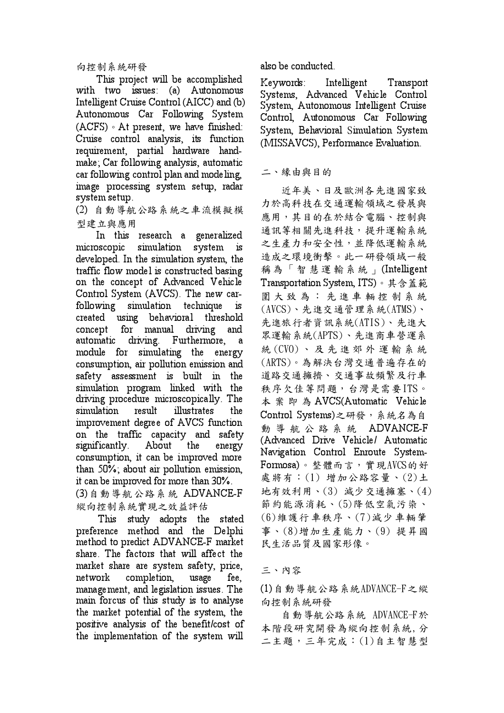向控制系統研發

This project will be accomplished with two issues: (a) Autonomous Intelligent Cruise Control (AICC) and (b) Autonomous Car Following System (ACFS) • At present, we have finished: Cruise control analysis, its function requirement, partial hardware handmake; Car following analysis, automatic car following control plan and modeling. image processing system setup, radar system setup.

(2) 自動導航公路系統之車流模擬模 型建立與應用

In this research a generalized microscopic simulation system is developed. In the simulation system, the traffic flow model is constructed basing on the concept of Advanced Vehicle Control System (AVCS). The new carfollowing simulation technique  $is$ created using behavioral threshold concept for manual driving and automatic driving. Furthermore,  $\mathbf{a}$ module for simulating the energy consumption, air pollution emission and safety assessment is built in the simulation program linked with the driving procedure microscopically. The simulation result illustrates the improvement degree of AVCS function on the traffic capacity and safety significantly. About the energy consumption, it can be improved more than 50%; about air pollution emission, it can be improved for more than 30%.

(3) 自動導航公路系統 ADVANCE-F 縱向控制系統實現之效益評估

This study adopts the stated preference method and the Delphi method to predict ADVANCE-F market share. The factors that will affect the market share are system safety, price, network completion, usage fee, management, and legislation issues. The main forcus of this study is to analyse the market potential of the system, the positive analysis of the benefit/cost of the implementation of the system will

also be conducted.

Keywords: Intelligent Transport Systems, Advanced Vehicle Control System, Autonomous Intelligent Cruise Control, Autonomous Car Following System, Behavioral Simulation System (MISSAVCS), Performance Evaluation.

## 二、緣由與目的

近年美、日及歐洲各先進國家致 力於高科技在交通運輸領域之發展與 應用,其目的在於結合電腦、控制與 通訊等相關先進科技,提升運輸系統 之生產力和安全性,並降低運輸系統 造成之環境衝擊。此一研發領域一般 稱為「智慧運輸系統」(Intelligent Transportation System, ITS)。其含蓋範 圍大致為:先進車輛控制系統  $(AVCS)$ 、先進交通管理系統 $(ATMS)$ 、 先進旅行者資訊系統(ATIS)、先進大 眾運輸系統(APTS)、先進商車營運系 統(CVO)、及先進郊外運輸系統 (ARTS)。為解決台灣交通普遍存在的 道路交通擁擠、交通事故頻繁及行車 秩序欠佳等問題,台灣是需要ITS。 本 案 即 為 AVCS(Automatic Vehicle Control Systems)之研發,系統名為自 動導航公路系統 ADVANCE-F (Advanced Drive Vehicle/ Automatic Navigation Control Enroute System-Formosa)。整體而言,實現AVCS的好 處將有: (1) 增加公路容量、(2)土 地有效利用、(3) 减少交通擁塞、(4) 節約能源消耗、(5)降低空氣污染、 (6)維護行車秩序、(7)減少車輛肇 事、(8)增加生產能力、(9)提昇國 民生活品質及國家形像。

## 三、內容

 $(1)$ 自動導航公路系統ADVANCE-F之縱 向控制系統研發

自動導航公路系統 ADVANCE-F於 本階段研究開發為縱向控制系統,分 二主題,三年完成:(1)自主智慧型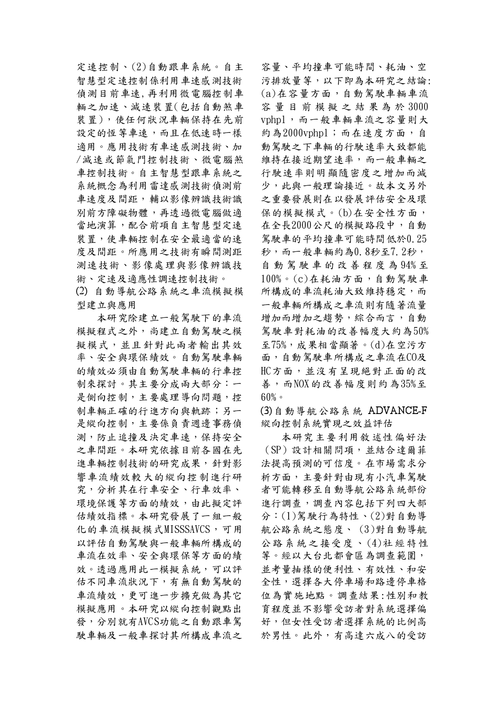定速控制、(2)自動跟車系統。自主 智慧型定速控制係利用車速感測技術 偵測目前車速,再利用微電腦控制車 輛之加速、減速裝置(包括自動煞車 裝置),使任何狀況車輛保持在先前 設定的恆等車速,而且在低速時一樣 適用。應用技術有車速感測技術、加 /減速或節氣門控制技術、微電腦煞 車控制技術。自主智慧型跟車系統之 系統概念為利用雷達感測技術偵測前 車速度及間距,輔以影像辨識技術識 別前方障礙物體,再透過微電腦做適 當地演算, 配合前項自主智慧型定速 裝置,使車輛控制在安全最適當的速 度及間距。所應用之技術有瞬間測距 測速技術、影像處理與影像辨識技 術、定速及適應性調速控制技術。

(2) 自動導航公路系統之車流模擬模 型建立與應用

本研究除建立一般駕駛下的車流 模擬程式之外,尚建立自動駕駛之模 擬模式,並且針對此兩者輸出其效 率、安全與環保績效。自動駕駛車輛 的績效必須由自動駕駛車輛的行車控 制來探討。其主要分成兩大部分:一 是側向控制,主要處理導向問題,控 制車輛正確的行進方向與軌跡;另一 是縱向控制,主要係負責週邊事務偵 測,防止追撞及決定車速,保持安全 之車間距。本研究依據目前各國在先 進車輛控制技術的研究成果,針對影 響車流績效較大的縱向控制進行研 究,分析其在行車安全、行車效率、 環境保護等方面的績效,由此擬定評 估績效指標。本研究發展了一組一般 化的車流模擬模式MISSSAVCS,可用 以評估自動駕駛與一般車輛所構成的 車流在效率、安全與環保等方面的績 效。透過應用此一模擬系統,可以評 估不同車流狀況下,有無自動駕駛的 車流績效,更可進一步擴充做為其它 模擬應用。本研究以縱向控制觀點出 發,分別就有AVCS功能之自動跟車駕 駛車輛及一般車探討其所構成車流之

容量、平均撞車可能時間、耗油、空 污排放量等,以下即為本研究之結論: (a)在容量方面,自動駕駛車輛車流 容量目前模擬之結果為於3000 vphpl,而一般車輛車流之容量則大 約為2000vphpl;而在速度方面,自 動駕駛之下車輛的行駛速率大致都能 維持在接近期望速率,而一般車輛之 行駛速率則明顯隨密度之增加而減 少,此與一般理論接近。故本文另外 之重要發展則在以發展評估安全及環 保的模擬模式。(b)在安全性方面, 在全長2000公尺的模擬路段中,自動 駕駛車的平均撞車可能時間低於0.25 秒,而一般車輛約為0.8秒至7.2秒, 自動駕駛車的改善程度為94%至  $100\%$ 。 $(c)$ 在耗油方面,自動駕駛車 所構成的車流耗油大致維持穩定,而 一般車輛所構成之車流則有隨著流量 增加而增加之趨勢,綜合而言,自動 駕駛車對耗油的改善幅度大約為50% 至75%, 成果相當顯著。(d)在空污方 面,自動駕駛車所構成之車流在CO及 HC方面, 並沒有呈現絕對正面的改 善,而NOX的改善幅度則約為35%至  $60\%$ 

(3) 自動導航公路系統 ADVANCE-F 縱向控制系統實現之效益評估

本研究主要利用敘述性偏好法 (SP)設計相關問項,並結合達爾菲 法提高預測的可信度。在市場需求分 析方面,主要針對由現有小汽車駕駛 者可能轉移至自動導航公路系統部份 進行調查,調查內容包括下列四大部 分:(1)駕駛行為特性、(2)對自動導 航公路系統之態度、(3)對自動導航 公路系統之接受度、(4)社經特性 等。經以大台北都會區為調查範圍, 並考量抽樣的便利性、有效性、和安 全性,選擇各大停車場和路邊停車格 位為實施地點。調查結果:性別和教 育程度並不影響受訪者對系統選擇偏 好,但女性受訪者選擇系統的比例高 於男性。此外,有高達六成八的受訪